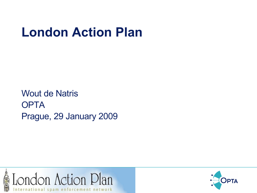Wout de Natris **OPTA** Prague, 29 January 2009



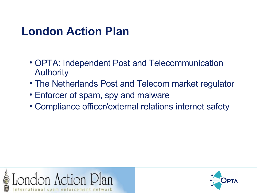- OPTA: Independent Post and Telecommunication Authority
- The Netherlands Post and Telecom market regulator
- Enforcer of spam, spy and malware
- Compliance officer/external relations internet safety



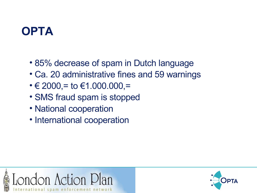## **OPTA**

- 85% decrease of spam in Dutch language
- Ca. 20 administrative fines and 59 warnings
- $\cdot \in 2000, = \text{to } \in 1.000.000, =$
- SMS fraud spam is stopped
- National cooperation
- International cooperation



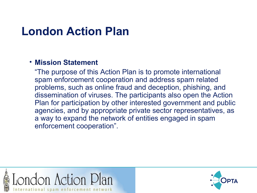#### • **Mission Statement**

"The purpose of this Action Plan is to promote international spam enforcement cooperation and address spam related problems, such as online fraud and deception, phishing, and dissemination of viruses. The participants also open the Action Plan for participation by other interested government and public agencies, and by appropriate private sector representatives, as a way to expand the network of entities engaged in spam enforcement cooperation".



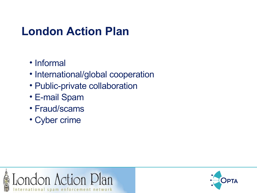- Informal
- International/global cooperation
- Public-private collaboration
- E-mail Spam
- Fraud/scams
- Cyber crime



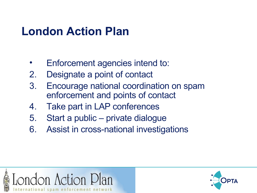- Enforcement agencies intend to:
- 2. Designate a point of contact
- 3. Encourage national coordination on spam enforcement and points of contact
- 4. Take part in LAP conferences
- 5. Start a public private dialogue
- 6. Assist in cross-national investigations



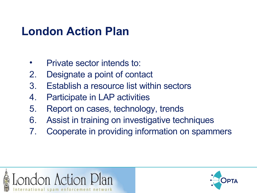- Private sector intends to:
- 2. Designate a point of contact
- 3. Establish a resource list within sectors
- 4. Participate in LAP activities
- 5. Report on cases, technology, trends
- 6. Assist in training on investigative techniques
- 7. Cooperate in providing information on spammers



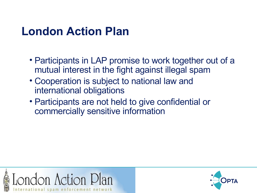- Participants in LAP promise to work together out of a mutual interest in the fight against illegal spam
- Cooperation is subject to national law and international obligations
- Participants are not held to give confidential or commercially sensitive information



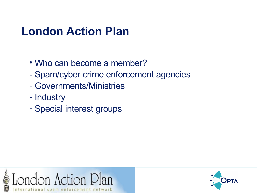- Who can become a member?
- Spam/cyber crime enforcement agencies
- Governments/Ministries
- Industry
- Special interest groups



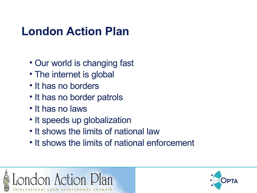- Our world is changing fast
- The internet is global
- It has no borders
- It has no border patrols
- It has no laws
- It speeds up globalization
- It shows the limits of national law
- It shows the limits of national enforcement



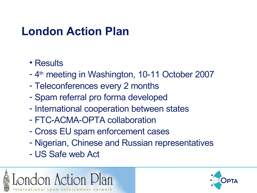- Results
- 4<sup>th</sup> meeting in Washington, 10-11 October 2007
- Teleconferences every 2 months
- Spam referral pro forma developed
- International cooperation between states
- FTC-ACMA-OPTA collaboration
- Cross EU spam enforcement cases
- Nigerian, Chinese and Russian representatives
- US Safe web Act



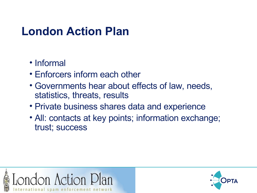- Informal
- Enforcers inform each other
- Governments hear about effects of law, needs, statistics, threats, results
- Private business shares data and experience
- All: contacts at key points; information exchange; trust; success